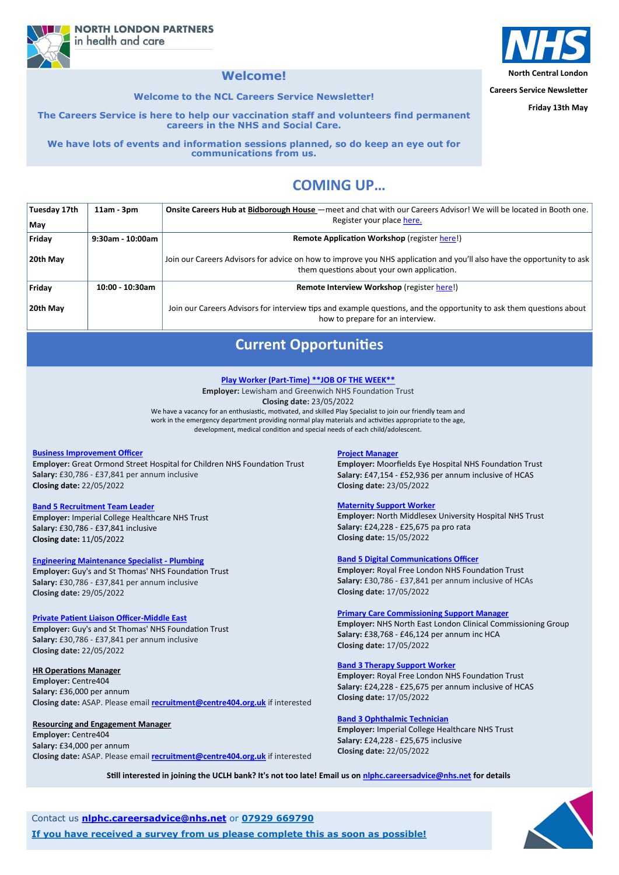**North Central London**

**Careers Service Newsletter**

**Friday 13th May**

# **COMING UP…**

**NORTH LONDON PARTNERS** in health and care

## **Welcome!**

**Welcome to the NCL Careers Service Newsletter!**

**The Careers Service is here to help our vaccination staff and volunteers find permanent careers in the NHS and Social Care.** 

**We have lots of events and information sessions planned, so do keep an eye out for communications from us.**

| Tuesday 17th | $11am - 3pm$     | Onsite Careers Hub at Bidborough House – meet and chat with our Careers Advisor! We will be located in Booth one.                                                    |
|--------------|------------------|----------------------------------------------------------------------------------------------------------------------------------------------------------------------|
| May          |                  | Register your place here.                                                                                                                                            |
| Friday       | 9:30am - 10:00am | <b>Remote Application Workshop (register here!)</b>                                                                                                                  |
| 20th May     |                  | Join our Careers Advisors for advice on how to improve you NHS application and you'll also have the opportunity to ask<br>them questions about your own application. |
| Friday       | 10:00 - 10:30am  | Remote Interview Workshop (register here!)                                                                                                                           |
| 20th May     |                  | Join our Careers Advisors for interview tips and example questions, and the opportunity to ask them questions about<br>how to prepare for an interview.              |

Contact us **[nlphc.careersadvice@nhs.net](mailto:nlphc.careersadvice@nhs.net)** or **07929 669790**

**If you have received a survey from us please complete this as soon as possible!**



# **Current Opportunities**

#### **[Business Improvement Officer](https://www.healthjobsuk.com/job/UK/London/London/Great_Ormond_Street_Hospital_Children_NHS_Foundation_Trust/Estates_Facilities/Estates_Facilities-v4141885?_ts=117797)**

**Employer:** Great Ormond Street Hospital for Children NHS Foundation Trust **Salary:** £30,786 - £37,841 per annum inclusive **Closing date:** 22/05/2022

#### **[Band 5 Recruitment Team Leader](https://www.healthjobsuk.com/job/UK/London/London/Imperial_College_Healthcare_NHS_Trust/Recruitment/Recruitment-v4142977?_ts=1955423)**

**Employer:** Imperial College Healthcare NHS Trust **Salary:** £30,786 - £37,841 inclusive **[Cl](https://www.healthjobsuk.com/job/UK/London/London/Guys_St_Thomas_NHS_Foundation_Trust/Engineering/Engineering-v4170727?_ts=122557)osing date:** 11/05/2022

#### **[Engineering Maintenance Specialist](https://www.healthjobsuk.com/job/UK/London/London/Guys_St_Thomas_NHS_Foundation_Trust/Engineering/Engineering-v4170727?_ts=122557) - Plumbing**

**Employer:** Guy's and St Thomas' NHS Foundation Trust **Salary:** £30,786 - £37,841 per annum inclusive **[Clo](https://www.healthjobsuk.com/job/UK/London/London/Guys_St_Thomas_NHS_Foundation_Trust/International_Private_Patients/International_Private_Patients-v4170214?_ts=147425)sing date:** 29/05/2022

#### **[Private Patient Liaison Officer](https://www.healthjobsuk.com/job/UK/London/London/Guys_St_Thomas_NHS_Foundation_Trust/International_Private_Patients/International_Private_Patients-v4170214?_ts=147425)-Middle East**

**Employer:** Guy's and St Thomas' NHS Foundation Trust **Salary:** £30,786 - £37,841 per annum inclusive **Closing date:** 22/05/2022

#### **HR Operations Manager**

**Employer:** Centre404 **Salary:** £36,000 per annum **Closing date:** ASAP. Please email **[recruitment@centre404.org.uk](mailto:recruitment@centre404.org.uk)** if interested

#### **Resourcing and Engagement Manager**

**Employer:** Centre404 **Salary:** £34,000 per annum **Closing date:** ASAP. Please email **[recruitment@centre404.org.uk](mailto:recruitment@centre404.org.uk)** if interested

#### **[Project Manager](https://www.healthjobsuk.com/job/UK/London/London/Moorfields_Eye_Hospital_NHS_Foundation_Trust/ITprojects_stakeholder_engagement_business_analysis_digital_transformation/ITprojects_stakeholder_engagement_business_analysis_digital_transformation-v4178904?_t)**

**Employer:** Moorfields Eye Hospital NHS Foundation Trust **Salary:** £47,154 - £52,936 per annum inclusive of HCAS **Closing date:** 23/05/2022

#### **[Maternity Support Worker](https://www.healthjobsuk.com/job/UK/London/London/North_Middlesex_University_Hospital_NHS_Trust/Maternity_Services/Maternity_Services-v4122826?_ts=169123)**

**Employer:** North Middlesex University Hospital NHS Trust **Salary:** £24,228 - £25,675 pa pro rata **Closing date:** 15/05/2022

#### **[Band 5 Digital Communications Officer](https://www.healthjobsuk.com/job/UK/London/Hampstead/Royal_Free_London_NHS_Foundation_Trust/Communications/Communications-v4155837?_ts=58009)**

**Employer:** Royal Free London NHS Foundation Trust **Salary:** £30,786 - £37,841 per annum inclusive of HCAs **Closing date:** 17/05/2022

#### **[Primary Care Commissioning Support Manager](https://www.healthjobsuk.com/job/UK/London/London/NHS_North_East_London_Clinical_Commissioning_Group/Commissioning/Commissioning-v4162526?_ts=65227)**

**Employer:** NHS North East London Clinical Commissioning Group **Salary:** £38,768 - £46,124 per annum inc HCA **Closing date:** 17/05/2022



#### **[Band 3 Therapy Support Worker](https://www.healthjobsuk.com/job/UK/London/London/Royal_Free_London_NHS_Foundation_Trust/Therapies/Therapies-v4156099?_ts=179956)**

**Employer:** Royal Free London NHS Foundation Trust **Salary:** £24,228 - £25,675 per annum inclusive of HCAS **Closing date:** 17/05/2022

#### **[Band 3 Ophthalmic Technician](https://www.healthjobsuk.com/job/UK/London/London/Imperial_College_Healthcare_NHS_Trust/Ophthalmology/Ophthalmology-v4178995?_ts=192617)**

**Employer:** Imperial College Healthcare NHS Trust **Salary:** £24,228 - £25,675 inclusive **Closing date:** 22/05/2022

#### **Play Worker (Part-[Time\) \\*\\*JOB OF THE WEEK\\*\\*](https://www.healthjobsuk.com/job/UK/London/London/Lewisham_Greenwich_NHS_Trust/Paediatrics/Paediatrics-v4122993?_ts=194797)**

**Employer:** Lewisham and Greenwich NHS Foundation Trust **Closing date:** 23/05/2022 We have a vacancy for an enthusiastic, motivated, and skilled Play Specialist to join our friendly team and work in the emergency department providing normal play materials and activities appropriate to the age, development, medical condition and special needs of each child/adolescent.

**Still interested in joining the UCLH bank? It's not too late! Email us on [nlphc.careersadvice@nhs.net f](mailto:nlphc.careersadvice@nhs.net)or details**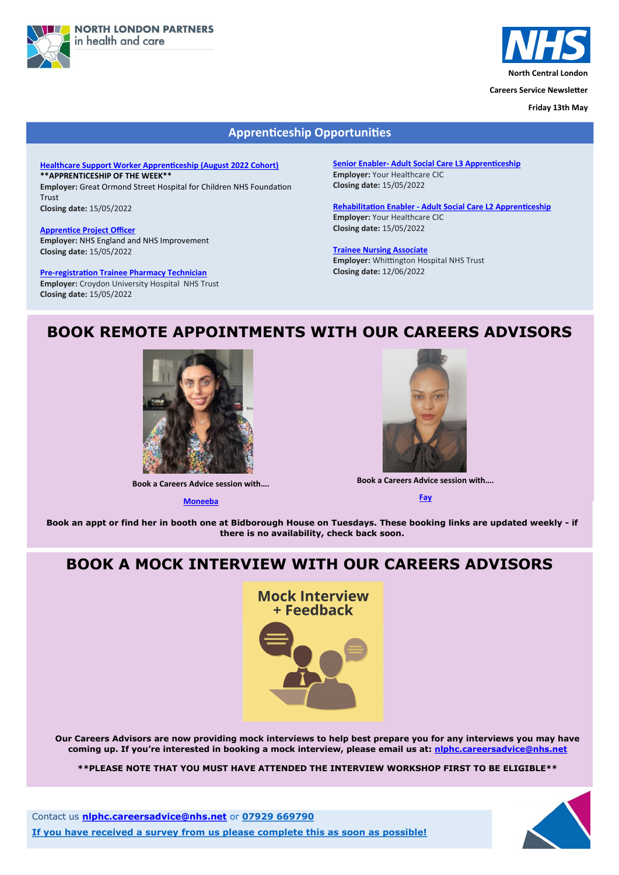



**North Central London**

**Careers Service Newsletter**

**Friday 13th May**

Contact us **[nlphc.careersadvice@nhs.net](mailto:nlphc.careersadvice@nhs.net)** or **07929 669790**

**If you have received a survey from us please complete this as soon as possible!**



# **BOOK REMOTE APPOINTMENTS WITH OUR CAREERS ADVISORS**



**Book a Careers Advice session with….**

**[Moneeba](https://calendly.com/nlphc-careersadvice/careers-advice-session-moneeba)**



**Book an appt or find her in booth one at Bidborough House on Tuesdays. These booking links are updated weekly - if there is no availability, check back soon.**

### **Apprenticeship Opportunities**

**[Healthcare Support Worker Apprenticeship \(August 2022 Cohort\)](https://www.healthjobsuk.com/job/UK/London/London/Great_Ormond_Street_Hospital_Children_NHS_Foundation_Trust/Across_all_specialties/Across_all_specialties-v4154471?_ts=10480)  \*\*APPRENTICESHIP OF THE WEEK\*\***

**Employer:** Great Ormond Street Hospital for Children NHS Foundation Trust

**Closing date:** 15/05/2022

**[Apprentice Project Officer](https://www.healthjobsuk.com/job/UK/West_Yorkshire/London/NHS_England_NHS_Improvement/Apprentice_Project_Officer/Apprentice_Project_Officer-v4116899?_ts=12935) Employer:** NHS England and NHS Improvement **Closing date:** 15/05/2022

**Pre-[registration Trainee Pharmacy Technician](https://beta.jobs.nhs.uk/candidate/jobadvert/C9199-3984555-FM-NP) Employer:** Croydon University Hospital NHS Trust

**Closing date:** 15/05/2022

**Senior Enabler- [Adult Social Care L3 Apprenticeship](https://www.jobs.nhs.uk/xi/direct_apply/?vac_ref=917183241) Employer:** Your Healthcare CIC **[Cl](https://beta.jobs.nhs.uk/candidate/jobadvert/B9811-22-2853)osing date:** 15/05/2022

**Rehabilitation Enabler - [Adult Social Care L2 Apprenticeship](https://beta.jobs.nhs.uk/candidate/jobadvert/B9811-22-2853) Employer:** Your Healthcare CIC **Closing date:** 15/05/2022

#### **[Trainee Nursing Associate](https://beta.jobs.nhs.uk/candidate/jobadvert/C9220-22-2231)**

**Employer:** Whittington Hospital NHS Trust **Closing date:** 12/06/2022

**Book a Careers Advice session with….**

**[Fay](https://calendly.com/nlphc-careersadvice/careers-advice-session-fay)**

# **BOOK A MOCK INTERVIEW WITH OUR CAREERS ADVISORS**

**Mock Interview** + Feedback



**Our Careers Advisors are now providing mock interviews to help best prepare you for any interviews you may have coming up. If you're interested in booking a mock interview, please email us at: [nlphc.careersadvice@nhs.net](mailto:nlphc.careersadvice@nhs.net)**

**\*\*PLEASE NOTE THAT YOU MUST HAVE ATTENDED THE INTERVIEW WORKSHOP FIRST TO BE ELIGIBLE\*\***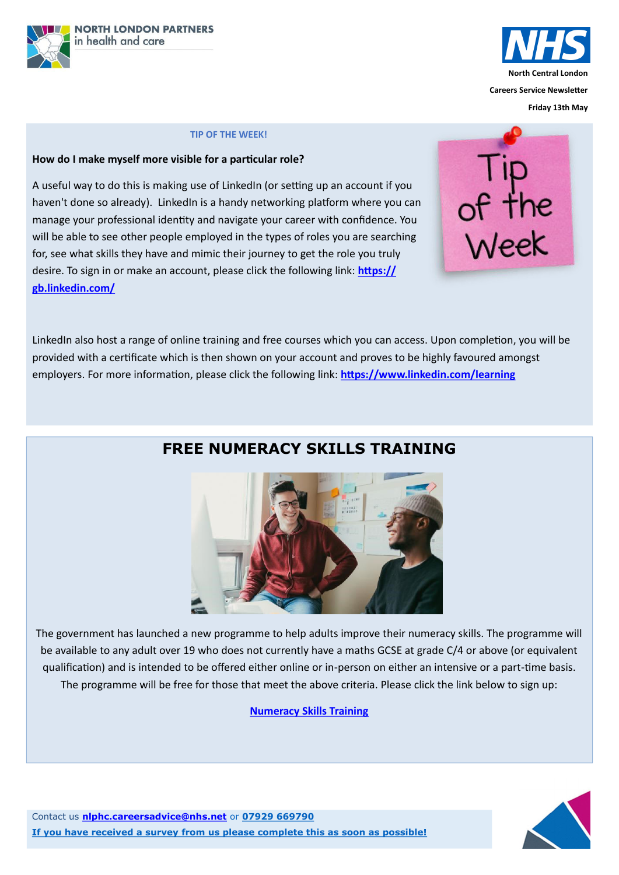



**Friday 13th May**

Contact us **[nlphc.careersadvice@nhs.net](mailto:nlphc.careersadvice@nhs.net)** or **07929 669790**

**If you have received a survey from us please complete this as soon as possible!**



# **FREE NUMERACY SKILLS TRAINING**

The government has launched a new programme to help adults improve their numeracy skills. The programme will be available to any adult over 19 who does not currently have a maths GCSE at grade C/4 or above (or equivalent

qualification) and is intended to be offered either online or in-person on either an intensive or a part-time basis.

The programme will be free for those that meet the above criteria. Please click the link below to sign up:

**[Numeracy Skills Training](https://nationalcareers.service.gov.uk/find-a-course/page?searchTerm=maths%20mathematics%20numeracy&distance=10%20miles&town=&orderByValue=Relevance&startDate=Anytime&courseType=&courseHours=&courseStudyTime=&filterA=true&page=1&D=0&coordinates=&campaignCo)**

### **TIP OF THE WEEK!**

### **How do I make myself more visible for a particular role?**

A useful way to do this is making use of LinkedIn (or setting up an account if you haven't done so already). LinkedIn is a handy networking platform where you can manage your professional identity and navigate your career with confidence. You will be able to see other people employed in the types of roles you are searching for, see what skills they have and mimic their journey to get the role you truly desire. To sign in or make an account, please click the following link: **[https://](https://gb.linkedin.com/) [gb.linkedin.com/](https://gb.linkedin.com/)**



LinkedIn also host a range of online training and free courses which you can access. Upon completion, you will be provided with a certificate which is then shown on your account and proves to be highly favoured amongst employers. For more information, please click the following link: **<https://www.linkedin.com/learning>**